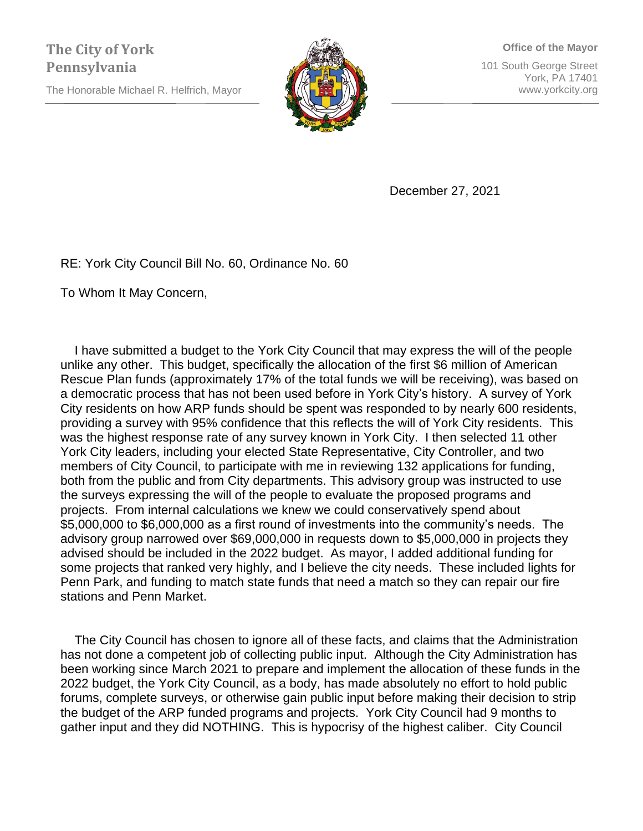The Honorable Michael R. Helfrich, Mayor



**Office of the Mayor** 101 South George Street York, PA 17401 www.yorkcity.org

December 27, 2021

RE: York City Council Bill No. 60, Ordinance No. 60

To Whom It May Concern,

 I have submitted a budget to the York City Council that may express the will of the people unlike any other. This budget, specifically the allocation of the first \$6 million of American Rescue Plan funds (approximately 17% of the total funds we will be receiving), was based on a democratic process that has not been used before in York City's history. A survey of York City residents on how ARP funds should be spent was responded to by nearly 600 residents, providing a survey with 95% confidence that this reflects the will of York City residents. This was the highest response rate of any survey known in York City. I then selected 11 other York City leaders, including your elected State Representative, City Controller, and two members of City Council, to participate with me in reviewing 132 applications for funding, both from the public and from City departments. This advisory group was instructed to use the surveys expressing the will of the people to evaluate the proposed programs and projects. From internal calculations we knew we could conservatively spend about \$5,000,000 to \$6,000,000 as a first round of investments into the community's needs. The advisory group narrowed over \$69,000,000 in requests down to \$5,000,000 in projects they advised should be included in the 2022 budget. As mayor, I added additional funding for some projects that ranked very highly, and I believe the city needs. These included lights for Penn Park, and funding to match state funds that need a match so they can repair our fire stations and Penn Market.

 The City Council has chosen to ignore all of these facts, and claims that the Administration has not done a competent job of collecting public input. Although the City Administration has been working since March 2021 to prepare and implement the allocation of these funds in the 2022 budget, the York City Council, as a body, has made absolutely no effort to hold public forums, complete surveys, or otherwise gain public input before making their decision to strip the budget of the ARP funded programs and projects. York City Council had 9 months to gather input and they did NOTHING. This is hypocrisy of the highest caliber. City Council